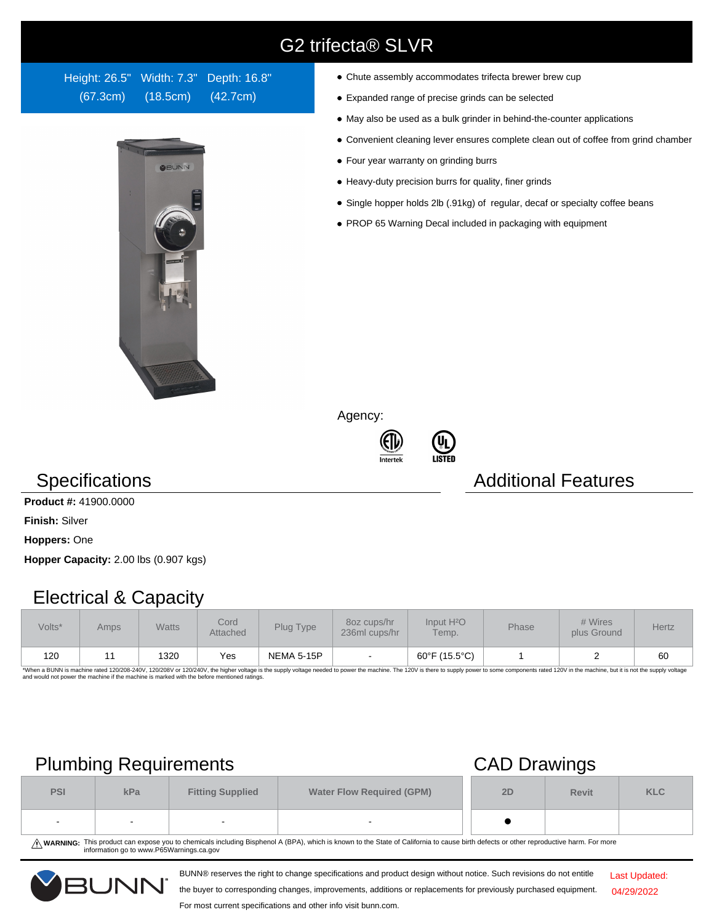# G2 trifecta® SLVR

Height: 26.5" Width: 7.3" Depth: 16.8" (67.3cm) (18.5cm) (42.7cm)



- Chute assembly accommodates trifecta brewer brew cup
- Expanded range of precise grinds can be selected
- May also be used as a bulk grinder in behind-the-counter applications
- Convenient cleaning lever ensures complete clean out of coffee from grind chamber
- Four year warranty on grinding burrs
- Heavy-duty precision burrs for quality, finer grinds
- Single hopper holds 2lb (.91kg) of regular, decaf or specialty coffee beans
- PROP 65 Warning Decal included in packaging with equipment

Agency:





## **Specifications Additional Features**

#### **Product #:** 41900.0000

**Finish:** Silver

**Hoppers:** One

**Hopper Capacity:** 2.00 lbs (0.907 kgs)

## Electrical & Capacity

| Volts* | Amps | <b>Watts</b> | Cord<br>Attached | Plug Type  | 8oz cups/hr<br>236ml cups/hr | Input H <sup>2</sup> O<br>Temp. | Phase | # Wires<br>plus Ground | <b>Hertz</b> |
|--------|------|--------------|------------------|------------|------------------------------|---------------------------------|-------|------------------------|--------------|
| 120    |      | 1320         | Yes              | NEMA 5-15P | $\overline{\phantom{a}}$     | 60°F (15.5°C)                   |       |                        | 60           |

\*When a BUNN is machine rated 120/208-240V, 120/208V or 120/240V, the higher voltage is the supply voltage needed to power the machine. The 120V is there to supply power to some components rated 120V in the machine, but it

# Plumbing Requirements CAD Drawings

|            |     |                                                             |                          |    | $\sim$       |            |  |  |
|------------|-----|-------------------------------------------------------------|--------------------------|----|--------------|------------|--|--|
| <b>PSI</b> | kPa | <b>Water Flow Required (GPM)</b><br><b>Fitting Supplied</b> |                          | 2D | <b>Revit</b> | <b>KLC</b> |  |  |
| . .        | -   | $\overline{\phantom{0}}$                                    | $\overline{\phantom{a}}$ |    |              |            |  |  |

WARNING: This product can expose you to chemicals including Bisphenol A (BPA), which is known to the State of California to cause birth defects or other reproductive harm. For more<br>information go to www.P65Warnings.ca.gov

BUNN® reserves the right to change specifications and product design without notice. Such revisions do not entitle



the buyer to corresponding changes, improvements, additions or replacements for previously purchased equipment. For most current specifications and other info visit bunn.com.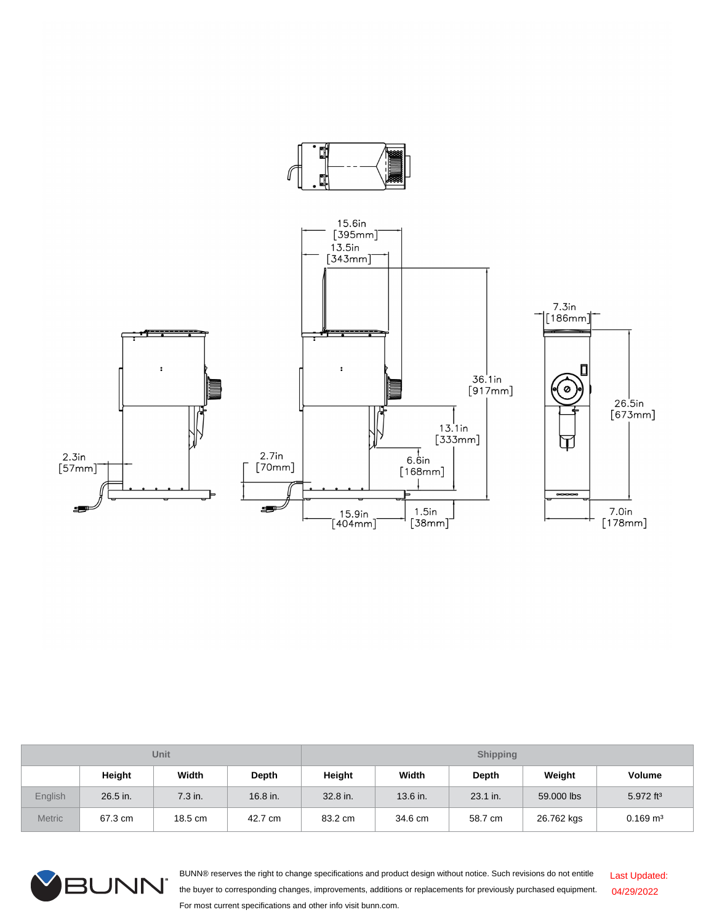

| <b>Unit</b>   |          |         |          | <b>Shipping</b> |          |              |            |                       |  |
|---------------|----------|---------|----------|-----------------|----------|--------------|------------|-----------------------|--|
|               | Height   | Width   | Depth    | Height          | Width    | <b>Depth</b> | Weight     | Volume                |  |
| English       | 26.5 in. | 7.3 in. | 16.8 in. | 32.8 in.        | 13.6 in. | 23.1 in.     | 59,000 lbs | 5.972 ft <sup>3</sup> |  |
| <b>Metric</b> | 67.3 cm  | 18.5 cm | 42.7 cm  | 83.2 cm         | 34.6 cm  | 58.7 cm      | 26.762 kgs | $0.169 \text{ m}^3$   |  |



BUNN® reserves the right to change specifications and product design without notice. Such revisions do not entitle the buyer to corresponding changes, improvements, additions or replacements for previously purchased equipment. For most current specifications and other info visit bunn.com. Last Updated: 04/29/2022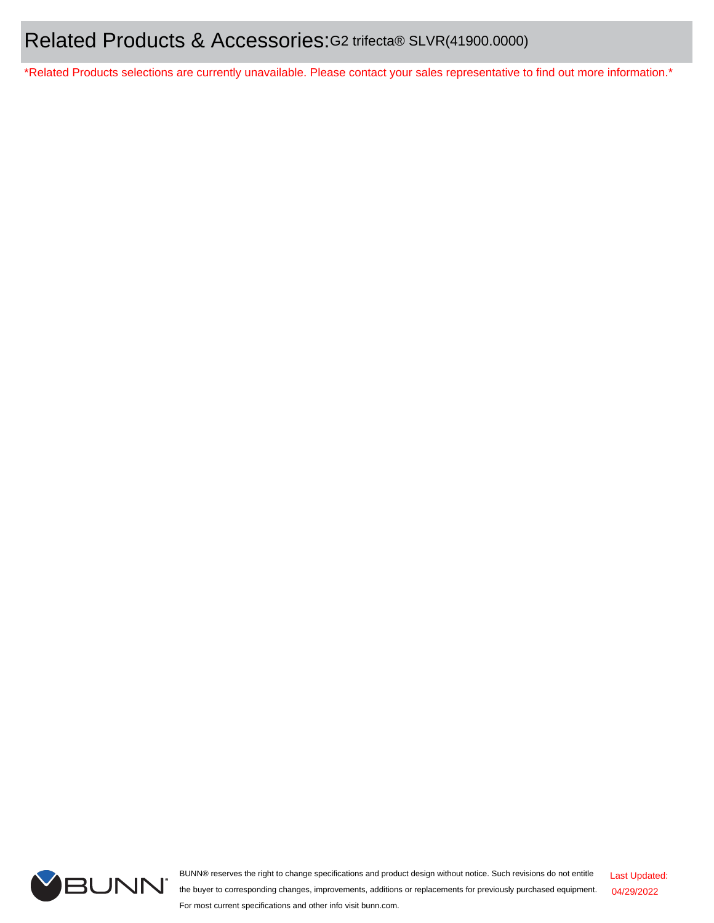\*Related Products selections are currently unavailable. Please contact your sales representative to find out more information.\*



BUNN® reserves the right to change specifications and product design without notice. Such revisions do not entitle the buyer to corresponding changes, improvements, additions or replacements for previously purchased equipment. For most current specifications and other info visit bunn.com.